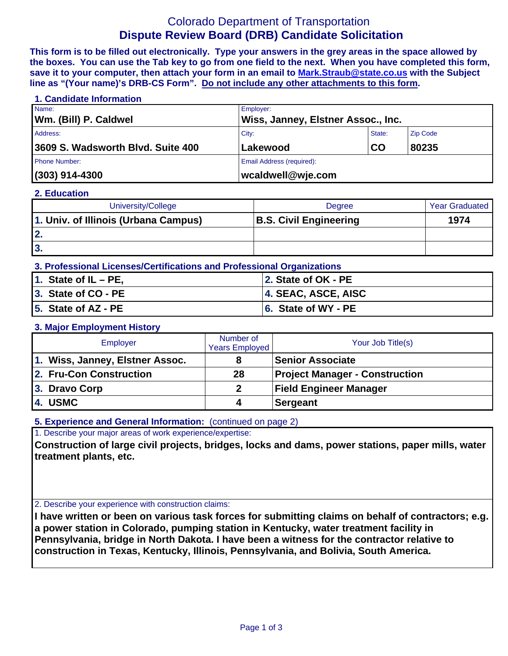# Colorado Department of Transportation **Dispute Review Board (DRB) Candidate Solicitation**

**This form is to be filled out electronically. Type your answers in the grey areas in the space allowed by the boxes. You can use the Tab key to go from one field to the next. When you have completed this form, save it to your computer, then attach your form in an email to Mark.Straub@state.co.us with the Subject line as "(Your name)'s DRB-CS Form". Do not include any other attachments to this form.**

| 1. Candidate Information          |                                    |           |                 |  |
|-----------------------------------|------------------------------------|-----------|-----------------|--|
| Name:                             | Employer:                          |           |                 |  |
| Wm. (Bill) P. Caldwel             | Wiss, Janney, Elstner Assoc., Inc. |           |                 |  |
| Address:                          | City:                              | State:    | <b>Zip Code</b> |  |
| 3609 S. Wadsworth Blvd. Suite 400 | Lakewood                           | <b>CO</b> | 80235           |  |
| <b>Phone Number:</b>              | <b>Email Address (required):</b>   |           |                 |  |
| $(303)$ 914-4300                  | wcaldwell@wje.com                  |           |                 |  |

### **2. Education**

| University/College                   | <b>Degree</b>                 | <b>Year Graduated</b> |
|--------------------------------------|-------------------------------|-----------------------|
| 1. Univ. of Illinois (Urbana Campus) | <b>B.S. Civil Engineering</b> | 1974                  |
| $\mathbf{2}$                         |                               |                       |
| $\overline{3}$ .                     |                               |                       |

## **3. Professional Licenses/Certifications and Professional Organizations**

| 1. State of $IL - PE$ , | 2. State of OK - PE |
|-------------------------|---------------------|
| 3. State of CO - PE     | 4. SEAC, ASCE, AISC |
| 5. State of AZ - PE     | 6. State of WY - PE |

### **3. Major Employment History**

| <b>Employer</b>                 | Number of<br><b>Years Employed</b> | Your Job Title(s)                     |
|---------------------------------|------------------------------------|---------------------------------------|
| 1. Wiss, Janney, Elstner Assoc. |                                    | <b>Senior Associate</b>               |
| 2. Fru-Con Construction         | 28                                 | <b>Project Manager - Construction</b> |
| 3. Dravo Corp                   |                                    | <b>Field Engineer Manager</b>         |
| 4. USMC                         | 4                                  | Sergeant                              |

**5. Experience and General Information:** (continued on page 2)

1. Describe your major areas of work experience/expertise:

**Construction of large civil projects, bridges, locks and dams, power stations, paper mills, water treatment plants, etc.** 

2. Describe your experience with construction claims:

**I have written or been on various task forces for submitting claims on behalf of contractors; e.g. a power station in Colorado, pumping station in Kentucky, water treatment facility in Pennsylvania, bridge in North Dakota. I have been a witness for the contractor relative to construction in Texas, Kentucky, Illinois, Pennsylvania, and Bolivia, South America.**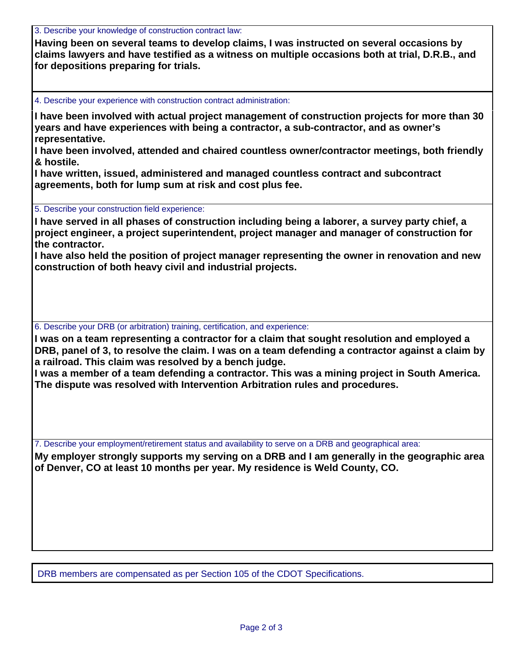3. Describe your knowledge of construction contract law:

**Having been on several teams to develop claims, I was instructed on several occasions by claims lawyers and have testified as a witness on multiple occasions both at trial, D.R.B., and for depositions preparing for trials.** 

4. Describe your experience with construction contract administration:

**I have been involved with actual project management of construction projects for more than 30 years and have experiences with being a contractor, a sub-contractor, and as owner's representative.** 

**I have been involved, attended and chaired countless owner/contractor meetings, both friendly & hostile.** 

**I have written, issued, administered and managed countless contract and subcontract agreements, both for lump sum at risk and cost plus fee.** 

5. Describe your construction field experience:

**I have served in all phases of construction including being a laborer, a survey party chief, a project engineer, a project superintendent, project manager and manager of construction for the contractor.** 

**I have also held the position of project manager representing the owner in renovation and new construction of both heavy civil and industrial projects.** 

6. Describe your DRB (or arbitration) training, certification, and experience:

**I was on a team representing a contractor for a claim that sought resolution and employed a DRB, panel of 3, to resolve the claim. I was on a team defending a contractor against a claim by a railroad. This claim was resolved by a bench judge.** 

**I was a member of a team defending a contractor. This was a mining project in South America. The dispute was resolved with Intervention Arbitration rules and procedures.** 

7. Describe your employment/retirement status and availability to serve on a DRB and geographical area:

**My employer strongly supports my serving on a DRB and I am generally in the geographic area of Denver, CO at least 10 months per year. My residence is Weld County, CO.** 

DRB members are compensated as per Section 105 of the CDOT Specifications.